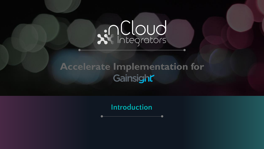# Related

### **Accelerate Implementation for** Gainsight

**Introduction**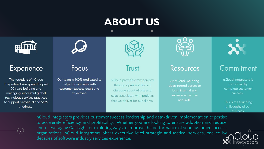# **ABOUT US**



#### Experience

The founders of nCloud Integrators have spent the past 20 years building and managing successful global technology services practices to support perpetual and SaaS offerings.



#### Focus

Our team is 100% dedicated to helping our clients with customer success goals and objectives.



Trust

nCloud provides transparency through open and honest dialogue about efforts and costs associated with projects that we deliver for our clients.



#### Resources

At nCloud, we bring deep-rooted access to both internal and external expertise and skill.



#### Commitment

nCloud Integrators is motivated by complete customer success.

This is the founding philosophy of our business.



nCloud Integrators provides customer success leadership and data-driven implementation expertise to accelerate efficiency and profitability. Whether you are looking to ensure adoption and reduce churn leveraging Gainsight, or exploring ways to improve the performance of your customer success organizations, nCloud Integrators offers executive level strategic and tactical services, backed by decades of software industry services experience.

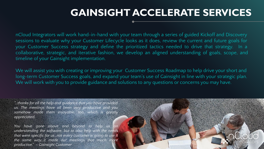### **GAINSIGHT ACCELERATE SERVICES**

nCloud Integrators will work hand-in-hand with your team through a series of guided Kickoff and Discovery sessions to evaluate why your Customer Lifecycle looks as it does, review the current and future goals for your Customer Success strategy and define the prioritized tactics needed to drive that strategy. In a collaborative, strategic, and iterative fashion, we develop an aligned understanding of goals, scope, and timeline of your Gainsight implementation.

We will assist you with creating or improving your Customer Success Roadmap to help drive your short and long-term Customer Success goals, and expand your team's use of Gainsight in line with your strategic plan. We will work with you to provide guidance and solutions to any questions or concerns you may have.

*"…thanks for all the help and guidance that you have provided us. The meetings have all been very productive and you somehow made them enjoyable, too, which is greatly appreciated.* 

*You have gone above and beyond to help us on understanding the software, but to also help with the needs that were specific for us…not every customer is going to use it the same way…it made our meetings that much more productive." – Gainsight Customer*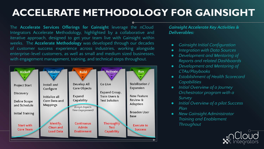# **ACCELERATE METHODOLOGY FOR GAINSIGHT**

The **Accelerate Services Offerings for Gainsight** leverage the nCloud Integrators Accelerate Methodology, highlighted by a collaborative and iterative approach, designed to get your team live with Gainsight within weeks. The **Accelerate Methodology** was developed through our decades of customer success experience across industries, working alongside enterprise-level customers, as well as small and medium sized businesses, with engagement management, training, and technical steps throughout.



*Gainsight Accelerate Key Activities & Deliverables:*

- *● Gainsight Initial Configuration*
- *● Integration with Data Sources*
- *● Development and Mentoring of Reports and related Dashboards*
- *● Development and Mentoring of CTAs/Playbooks*
- *● Establishment of Health Scorecard Capabilities*
- *● Initial Overview of a Journey Orchestrator program with a Survey*
- *● Initial Overview of a pilot Success Plan*
- *● New Gainsight Administrator Training and Enablement Throughout*

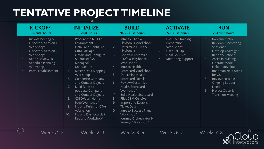## **TENTATIVE PROJECT TIMELINE**

|                | <b>KICKOFF</b><br>5-6 cust. hours                                                                                                                                                   |                                                                      | <b>INITIALIZE</b><br>5-6 cust. hours                                                                                                                                                                                                                                                                                                                                                                                                      |                                                           | <b>BUILD</b><br>20-25 cust. hours                                                                                                                                                                                                                                                                                                                                                                                                                                               |                               | <b>ACTIVATE</b><br>5-6 cust. hours                                                                                |                            | <b>RUN</b><br>2-4 cust. hours                                                                                                                                                                                                                                                                     |
|----------------|-------------------------------------------------------------------------------------------------------------------------------------------------------------------------------------|----------------------------------------------------------------------|-------------------------------------------------------------------------------------------------------------------------------------------------------------------------------------------------------------------------------------------------------------------------------------------------------------------------------------------------------------------------------------------------------------------------------------------|-----------------------------------------------------------|---------------------------------------------------------------------------------------------------------------------------------------------------------------------------------------------------------------------------------------------------------------------------------------------------------------------------------------------------------------------------------------------------------------------------------------------------------------------------------|-------------------------------|-------------------------------------------------------------------------------------------------------------------|----------------------------|---------------------------------------------------------------------------------------------------------------------------------------------------------------------------------------------------------------------------------------------------------------------------------------------------|
| 2.<br>3.<br>4. | Kickoff Meeting &<br><b>Discovery Session 1</b><br>Workshop*<br><b>Discovery Session 2</b><br>Workshop*<br>Scope Review &<br>Schedule Planning<br>Workshop*<br>Portal Establishment | $1_{-}$<br>2.<br>3.<br>4.<br>5.<br>6.<br>8.<br>9 <sub>1</sub><br>10. | Procure the NXT GS<br>Environment<br>Install and Configure<br>CRM Package<br>Obtain and Configure<br>S3 Bucket (GS<br>Managed)<br>User Set-Up<br><b>Master Data Mapping</b><br>Workshop*<br><b>Customize Company</b><br>and Contact Objects<br><b>Build Rules to</b><br>populate Company<br>and Contact Objects<br>C360/User Home<br>Page Workshop*<br>Intro to Rules for CTAs<br>Workshop*<br>Intro to Dashboards &<br>Reports Workshop* | 2.<br>3.<br>4.<br>5.<br>6.<br>7.<br>8.<br>9<br>10.<br>11. | Intro to CTA's &<br>Playbooks Workshop*<br>Determine CTA's &<br>Playbooks<br>Review/Customize<br>CTA's & Playbooks<br>Workshop*<br>Intro to Health<br>Scorecard Workshop*<br>Determine Health<br><b>Scorecard Details</b><br>Review/Customize<br>Health Scorecard<br>Workshop*<br><b>Build Health Scorecard</b><br><b>Pilot CSM Go-Live</b><br>Import and Establish<br><b>Ticket Data</b><br>Intro to Success Plans<br>Workshop*<br>Journey Orchestrator &<br>Surveys Workshop* | $1_{\cdot}$<br>2.<br>3.<br>4. | <b>End User Training</b><br>Preparation<br>Workshop*<br>User Set-Up<br>Final Go-Live*<br><b>Mentoring Support</b> | 2.<br>3.<br>4.<br>5.<br>6. | Implementation<br>Review & Mentoring<br>Sessions*<br>Develop Oversight<br>Reports/Actions<br><b>Assist in Building</b><br>Operate Model<br>Help to develop<br>Roadmap Next Steps<br>for CS<br>Review Possible<br><b>Ongoing Support</b><br><b>Needs</b><br>Project Close &<br>Transition Meeting* |
| 5 <sup>1</sup> | Weeks 1-2                                                                                                                                                                           |                                                                      | Weeks 2-3                                                                                                                                                                                                                                                                                                                                                                                                                                 |                                                           | Weeks 3-6                                                                                                                                                                                                                                                                                                                                                                                                                                                                       |                               | Weeks 6-7                                                                                                         |                            | Weeks 7-8                                                                                                                                                                                                                                                                                         |

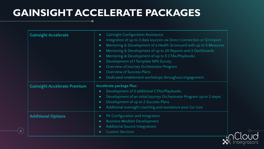## **GAINSIGHT ACCELERATE PACKAGES**

 $\bullet$ 

 $6<sup>1</sup>$ 

| <b>Gainsight Accelerate</b>         | <b>Gainsight Configuration Assistance</b><br>$\bullet$<br>Integration of up to 3 data sources via Direct Connection or S3 Import<br>$\bullet$<br>Mentoring & Development of a Health Scorecard with up to 5 Measures<br>$\bullet$<br>Mentoring & Development of up to 20 Reports and 2 Dashboards<br>$\bullet$<br>Mentoring & Development of up to 5 CTAs/Playbooks<br>$\bullet$<br>Development of 1 Template NPS Survey<br>$\bullet$<br>Overview of Journey Orchestrator Program<br>$\bullet$<br>Overview of Success Plans<br>$\bullet$<br>Dedicated enablement workshops throughout engagement<br>$\bullet$ |
|-------------------------------------|---------------------------------------------------------------------------------------------------------------------------------------------------------------------------------------------------------------------------------------------------------------------------------------------------------------------------------------------------------------------------------------------------------------------------------------------------------------------------------------------------------------------------------------------------------------------------------------------------------------|
| <b>Gainsight Accelerate Premium</b> | <b>Accelerate package Plus:</b><br>Development of 5 additional CTAs/Playbooks<br>$\bullet$<br>Development of an initial Journey Orchestrator Program up to 3 steps;<br>$\bullet$<br>Development of up to 2 Success Plans<br>$\bullet$<br>Additional oversight coaching and assistance post Go-Live<br>$\bullet$                                                                                                                                                                                                                                                                                               |
| <b>Additional Options</b>           | PX Configuration and Integration<br>$\bullet$<br><b>Business Modeler Development</b><br>$\bullet$<br><b>Additional Source Integrations</b><br>$\bullet$<br><b>Custom Services</b><br>$\bullet$                                                                                                                                                                                                                                                                                                                                                                                                                |

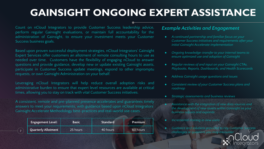# **GAINSIGHT ONGOING EXPERT ASSISTANCE**

Count on nCloud Integrators to provide Customer Success leadership advice, perform regular Gainsight evaluations, or maintain full accountability for the administration of Gainsight, to ensure your investment meets your Customer Success business goals.

Based upon proven successful deployment strategies, nCloud Integrators' Gainsight Expert Services offer customers an allotment of remote consulting hours to use as needed over time. Customers have the flexibility of engaging nCloud to answer questions and provide guidance, develop new or update existing Gainsight assets, participate in Customer Success update meetings, espond to other impromptu requests, or own Gainsight Administration on your behalf.

Leveraging nCloud Integrators will help reduce overall adoption risks and administrative burden to ensure that expert level resources are available at critical times, allowing you to stay on track with vital Customer Success initiatives.

A consistent, remote and pre-planned presence accelerates and guarantees timely answers to meet your requirements, with guidance based upon nCloud Integrators' Gainsight Accelerate Methodology best-practices and real-world use cases.

7

| <b>Engagement Level:</b> | <b>Basic</b> | <b>Standard</b> | Premium  |
|--------------------------|--------------|-----------------|----------|
| Quarterly Allotment      | 25 hours     | 40 hours        | 60 hours |

#### *Example Activities and Engagement*

- *● A continued partnership and familiar focus on your Customer Success initiatives and requirements after your initial Gainsight Accelerate implementation*
- *● Ongoing knowledge-transfer to your internal teams to ensure optimized use and adoption of Gainsight*
- *● Regular reviews of and input on your Gainsight CTAs, Playbooks, Reports, Dashboards, and Health Scorecards*
- *● Address Gainsight usage questions and issues*
- *● Consistent review of your Customer Success plans and roadmap*
- *● Strategic assessments and business reviews*
- *● Assistance with the integration of new data sources and the development of new assets within Gainsight as your business adjusts and expands*
- *● Incremental training to new users*
- *● Guidance and solutions provided to any Customer Success challenges or questions you may encounter*